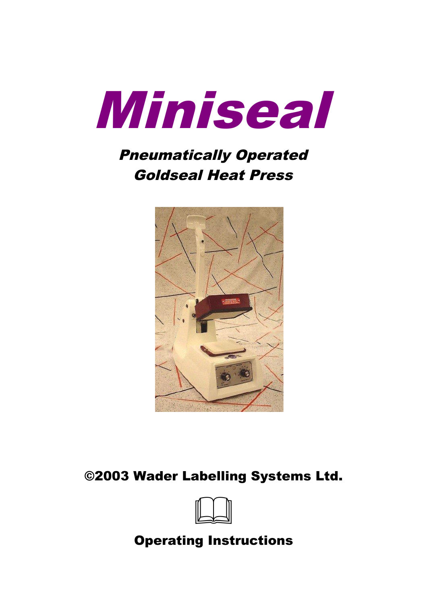

# Pneumatically Operated Goldseal Heat Press



### ©2003 Wader Labelling Systems Ltd.



### Operating Instructions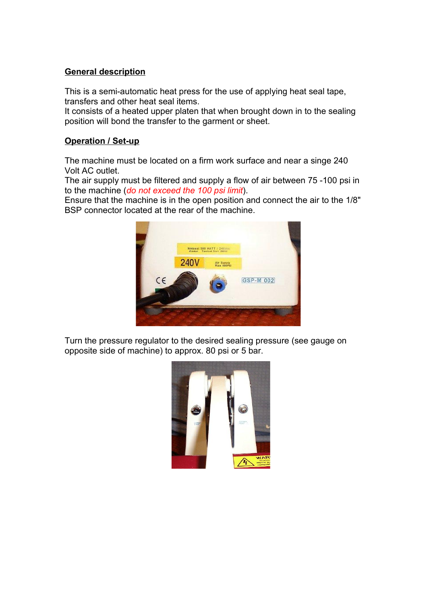#### **General description**

This is a semi-automatic heat press for the use of applying heat seal tape, transfers and other heat seal items.

It consists of a heated upper platen that when brought down in to the sealing position will bond the transfer to the garment or sheet.

#### **Operation / Set-up**

The machine must be located on a firm work surface and near a singe 240 Volt AC outlet.

The air supply must be filtered and supply a flow of air between 75 -100 psi in to the machine (*do not exceed the 100 psi limit*).

Ensure that the machine is in the open position and connect the air to the 1/8" BSP connector located at the rear of the machine.



Turn the pressure regulator to the desired sealing pressure (see gauge on opposite side of machine) to approx. 80 psi or 5 bar.

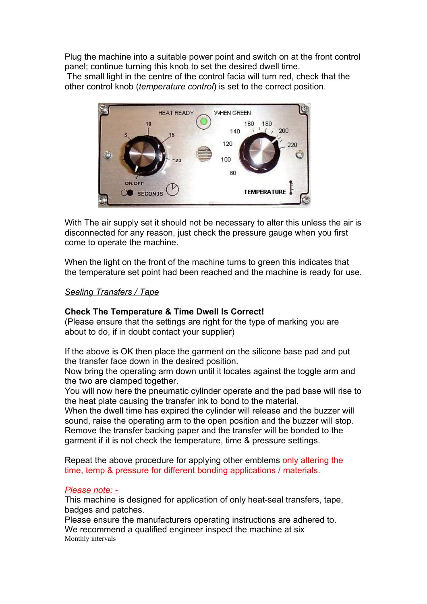Plug the machine into a suitable power point and switch on at the front control panel; continue turning this knob to set the desired dwell time.

The small light in the centre of the control facia will turn red, check that the other control knob (*temperature control*) is set to the correct position.



With The air supply set it should not be necessary to alter this unless the air is disconnected for any reason, just check the pressure gauge when you first come to operate the machine.

When the light on the front of the machine turns to green this indicates that the temperature set point had been reached and the machine is ready for use.

#### *Sealing Transfers / Tape*

#### **Check The Temperature & Time Dwell Is Correct!**

(Please ensure that the settings are right for the type of marking you are about to do, if in doubt contact your supplier)

If the above is OK then place the garment on the silicone base pad and put the transfer face down in the desired position.

Now bring the operating arm down until it locates against the toggle arm and the two are clamped together.

You will now here the pneumatic cylinder operate and the pad base will rise to the heat plate causing the transfer ink to bond to the material.

When the dwell time has expired the cylinder will release and the buzzer will sound, raise the operating arm to the open position and the buzzer will stop. Remove the transfer backing paper and the transfer will be bonded to the garment if it is not check the temperature, time & pressure settings.

Repeat the above procedure for applying other emblems only altering the time, temp & pressure for different bonding applications / materials.

#### *Please note: -*

This machine is designed for application of only heat-seal transfers, tape, badges and patches.

Please ensure the manufacturers operating instructions are adhered to. We recommend a qualified engineer inspect the machine at six Monthly intervals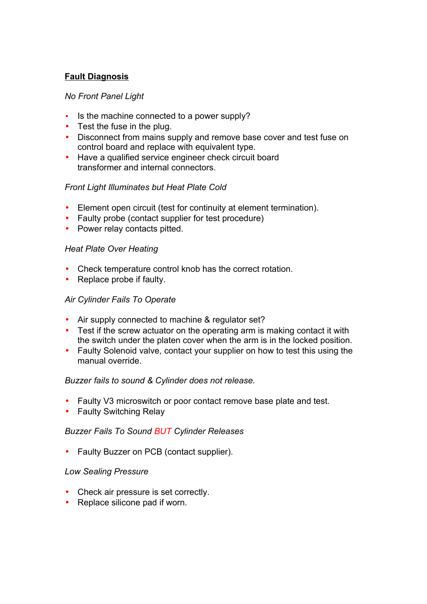#### **Fault Diagnosis**

#### *No Front Panel Light*

- Is the machine connected to a power supply?
- Test the fuse in the plug.
- Disconnect from mains supply and remove base cover and test fuse on control board and replace with equivalent type.
- Have a qualified service engineer check circuit board transformer and internal connectors.

#### *Front Light Illuminates but Heat Plate Cold*

- Element open circuit (test for continuity at element termination).
- Faulty probe (contact supplier for test procedure)
- Power relay contacts pitted.

#### *Heat Plate Over Heating*

- Check temperature control knob has the correct rotation.
- Replace probe if faulty.

#### *Air Cylinder Fails To Operate*

- Air supply connected to machine & regulator set?
- Test if the screw actuator on the operating arm is making contact it with the switch under the platen cover when the arm is in the locked position.
- Faulty Solenoid valve, contact your supplier on how to test this using the manual override.

#### *Buzzer fails to sound & Cylinder does not release.*

- Faulty V3 microswitch or poor contact remove base plate and test.
- Faulty Switching Relay

#### *Buzzer Fails To Sound BUT Cylinder Releases*

• Faulty Buzzer on PCB (contact supplier).

#### *Low Sealing Pressure*

- Check air pressure is set correctly.
- Replace silicone pad if worn.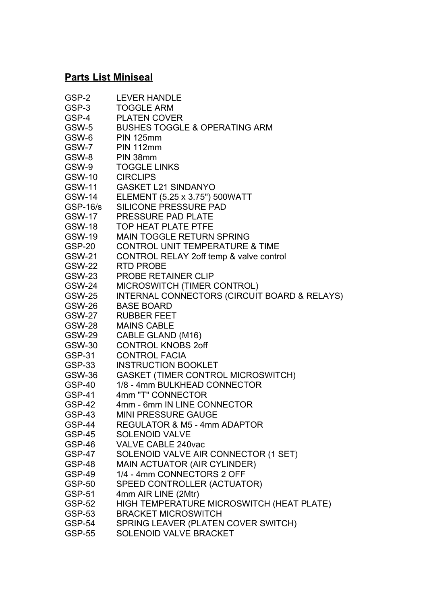### **Parts List Miniseal**

| GSP-2           | <b>LEVER HANDLE</b>                          |
|-----------------|----------------------------------------------|
| GSP-3           | <b>TOGGLE ARM</b>                            |
| GSP-4           | <b>PLATEN COVER</b>                          |
| GSW-5           | <b>BUSHES TOGGLE &amp; OPERATING ARM</b>     |
| GSW-6           | <b>PIN 125mm</b>                             |
| GSW-7           | <b>PIN 112mm</b>                             |
| GSW-8           | PIN 38mm                                     |
| GSW-9           | <b>TOGGLE LINKS</b>                          |
| <b>GSW-10</b>   | <b>CIRCLIPS</b>                              |
| <b>GSW-11</b>   | <b>GASKET L21 SINDANYO</b>                   |
| <b>GSW-14</b>   | ELEMENT (5.25 x 3.75") 500WATT               |
| <b>GSP-16/s</b> | <b>SILICONE PRESSURE PAD</b>                 |
| <b>GSW-17</b>   | PRESSURE PAD PLATE                           |
| <b>GSW-18</b>   | <b>TOP HEAT PLATE PTFE</b>                   |
| <b>GSW-19</b>   | <b>MAIN TOGGLE RETURN SPRING</b>             |
| GSP-20          | <b>CONTROL UNIT TEMPERATURE &amp; TIME</b>   |
| <b>GSW-21</b>   | CONTROL RELAY 2off temp & valve control      |
| <b>GSW-22</b>   | <b>RTD PROBE</b>                             |
| <b>GSW-23</b>   | <b>PROBE RETAINER CLIP</b>                   |
| <b>GSW-24</b>   | MICROSWITCH (TIMER CONTROL)                  |
| <b>GSW-25</b>   | INTERNAL CONNECTORS (CIRCUIT BOARD & RELAYS) |
| <b>GSW-26</b>   | <b>BASE BOARD</b>                            |
| <b>GSW-27</b>   | <b>RUBBER FEET</b>                           |
| GSW-28          | <b>MAINS CABLE</b>                           |
| <b>GSW-29</b>   | CABLE GLAND (M16)                            |
| <b>GSW-30</b>   | <b>CONTROL KNOBS 2off</b>                    |
| <b>GSP-31</b>   | <b>CONTROL FACIA</b>                         |
| GSP-33          | <b>INSTRUCTION BOOKLET</b>                   |
| GSW-36          | GASKET (TIMER CONTROL MICROSWITCH)           |
| GSP-40          | 1/8 - 4mm BULKHEAD CONNECTOR                 |
| <b>GSP-41</b>   | 4mm "T" CONNECTOR                            |
| <b>GSP-42</b>   | 4mm - 6mm IN LINE CONNECTOR                  |
| GSP-43          | <b>MINI PRESSURE GAUGE</b>                   |
| GSP-44          | <b>REGULATOR &amp; M5 - 4mm ADAPTOR</b>      |
| GSP-45          | <b>SOLENOID VALVE</b>                        |
| GSP-46          | <b>VALVE CABLE 240vac</b>                    |
| GSP-47          | SOLENOID VALVE AIR CONNECTOR (1 SET)         |
| GSP-48          | MAIN ACTUATOR (AIR CYLINDER)                 |
| GSP-49          | 1/4 - 4mm CONNECTORS 2 OFF                   |
| <b>GSP-50</b>   | SPEED CONTROLLER (ACTUATOR)                  |
| <b>GSP-51</b>   | 4mm AIR LINE (2Mtr)                          |
| <b>GSP-52</b>   | HIGH TEMPERATURE MICROSWITCH (HEAT PLATE)    |
| <b>GSP-53</b>   | <b>BRACKET MICROSWITCH</b>                   |
| GSP-54          | SPRING LEAVER (PLATEN COVER SWITCH)          |
| <b>GSP-55</b>   | SOLENOID VALVE BRACKET                       |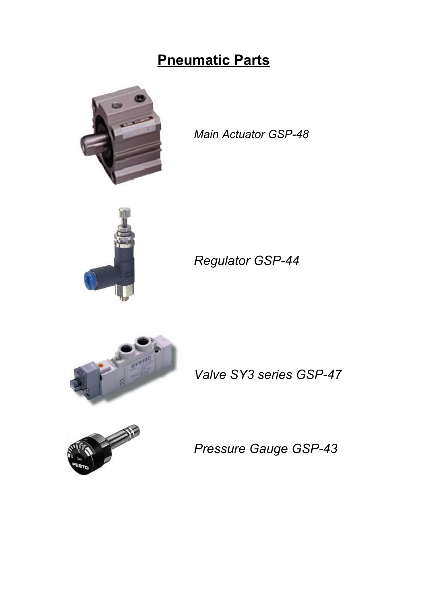## **Pneumatic Parts**



*Main Actuator GSP-48*



*Regulator GSP-44*



*Valve SY3 series GSP-47*



*Pressure Gauge GSP-43*